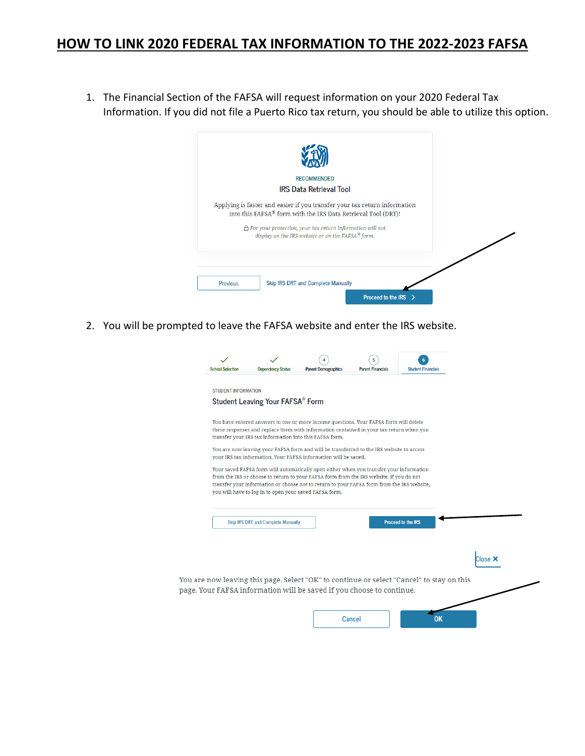## **HOW TO LINK 2020 FEDERAL TAX INFORMATION TO THE 2022-2023 FAFSA**

1. The Financial Section of the FAFSA will request information on your 2020 Federal Tax Information. If you did not file a Puerto Rico tax return, you should be able to utilize this option.



2. You will be prompted to leave the FAFSA website and enter the IRS website.

| Student Leaving Your FAFSA® Form                                                                                                                                                      |  |                           |       |
|---------------------------------------------------------------------------------------------------------------------------------------------------------------------------------------|--|---------------------------|-------|
|                                                                                                                                                                                       |  |                           |       |
| You have entered answers to one or more income questions. Your FAFSA form will delete<br>these responses and replace them with information contained in your tax return when you      |  |                           |       |
| transfer your IRS tax information into this FAFSA form.                                                                                                                               |  |                           |       |
| You are now leaving your FAFSA form and will be transferred to the IRS website to access<br>your IRS tax information. Your FAFSA information will be saved.                           |  |                           |       |
| Your saved FAFSA form will automatically open either when you transfer your information                                                                                               |  |                           |       |
| from the IRS or choose to return to your FAFSA form from the IRS website. If you do not<br>transfer your information or choose not to return to your FAFSA form from the IRS website, |  |                           |       |
| you will have to log in to open your saved FAFSA form.                                                                                                                                |  |                           |       |
|                                                                                                                                                                                       |  |                           |       |
| <b>Skip IRS DRT and Complete Manually</b>                                                                                                                                             |  | <b>Proceed to the IRS</b> |       |
|                                                                                                                                                                                       |  |                           |       |
|                                                                                                                                                                                       |  |                           | Close |
|                                                                                                                                                                                       |  |                           |       |
|                                                                                                                                                                                       |  |                           |       |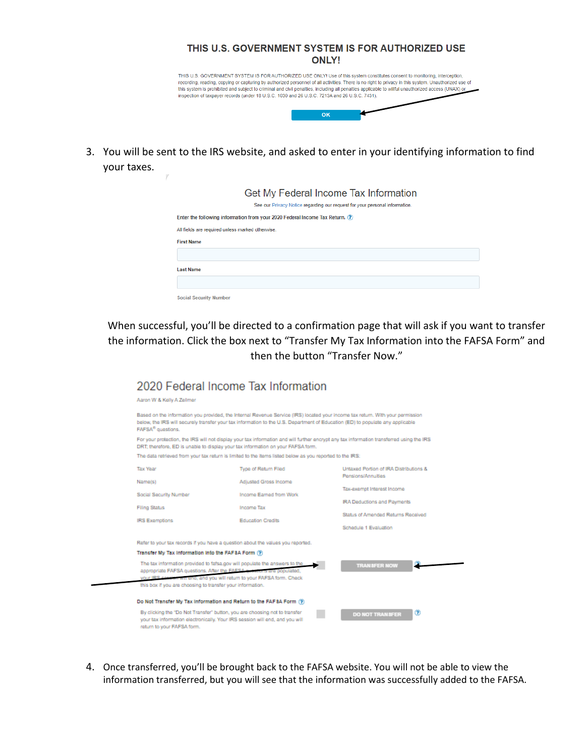| THIS U.S. GOVERNMENT SYSTEM IS FOR AUTHORIZED USE<br><b>ONLY!</b>                                                                                                                                                                                                                                                                                                                                                                                                                                                                          |
|--------------------------------------------------------------------------------------------------------------------------------------------------------------------------------------------------------------------------------------------------------------------------------------------------------------------------------------------------------------------------------------------------------------------------------------------------------------------------------------------------------------------------------------------|
| THIS U.S. GOVERNMENT SYSTEM IS FOR AUTHORIZED USE ONLY! Use of this system constitutes consent to monitoring, interception,<br>recording, reading, copying or capturing by authorized personnel of all activities. There is no right to privacy in this system. Unauthorized use of<br>this system is prohibited and subject to criminal and civil penalties, including all penalties applicable to willful unauthorized access (UNAX) or<br>inspection of taxpayer records (under 18 U.S.C. 1030 and 26 U.S.C. 7213A and 26 U.S.C. 7431). |
| OK                                                                                                                                                                                                                                                                                                                                                                                                                                                                                                                                         |

3. You will be sent to the IRS website, and asked to enter in your identifying information to find your taxes.

 $\boldsymbol{r}$ 

|                                                  | Get My Federal Income Tax Information<br>See our Privacy Notice regarding our request for your personal information. |
|--------------------------------------------------|----------------------------------------------------------------------------------------------------------------------|
|                                                  | Enter the following information from your 2020 Federal Income Tax Return. (?)                                        |
| All fields are required unless marked otherwise. |                                                                                                                      |
| <b>First Name</b>                                |                                                                                                                      |
|                                                  |                                                                                                                      |
| <b>Last Name</b>                                 |                                                                                                                      |
|                                                  |                                                                                                                      |
| <b>Social Security Number</b>                    |                                                                                                                      |

When successful, you'll be directed to a confirmation page that will ask if you want to transfer the information. Click the box next to "Transfer My Tax Information into the FAFSA Form" and then the button "Transfer Now."

| Aaron W & Kelly A Zellmer                                  |                                                                                                                                                                                                                                 |                                                                                                                                           |  |  |
|------------------------------------------------------------|---------------------------------------------------------------------------------------------------------------------------------------------------------------------------------------------------------------------------------|-------------------------------------------------------------------------------------------------------------------------------------------|--|--|
| FAFSA <sup>®</sup> questions.                              | below, the IRS will securely transfer your tax information to the U.S. Department of Education (ED) to populate any applicable                                                                                                  | Based on the information you provided, the Internal Revenue Service (IRS) located your income tax return. With your permission            |  |  |
|                                                            | DRT; therefore, ED is unable to display your tax information on your FAFSA form.                                                                                                                                                | For your protection, the IRS will not display your tax information and will further encrypt any tax information transferred using the IRS |  |  |
|                                                            | The data retrieved from your tax return is limited to the items listed below as you reported to the IRS:                                                                                                                        |                                                                                                                                           |  |  |
| <b>Tax Year</b>                                            | Type of Return Filed                                                                                                                                                                                                            | Untaxed Portion of IRA Distributions &<br>Pensions/Annuities<br>Tax-axempt Interest Income                                                |  |  |
| Name(s)                                                    | Adjusted Gross Income                                                                                                                                                                                                           |                                                                                                                                           |  |  |
| Social Security Number                                     | Income Earned from Work                                                                                                                                                                                                         |                                                                                                                                           |  |  |
| <b>Filing Status</b>                                       | Income Tax                                                                                                                                                                                                                      | <b>IRA Deductions and Payments</b>                                                                                                        |  |  |
|                                                            |                                                                                                                                                                                                                                 | Status of Amended Returns Received                                                                                                        |  |  |
| <b>IRS Exemptions</b>                                      | <b>Education Credits</b>                                                                                                                                                                                                        | Schedule 1 Evaluation                                                                                                                     |  |  |
|                                                            | Refer to your tax records if you have a question about the values you reported.                                                                                                                                                 |                                                                                                                                           |  |  |
| Transfer My Tax Information Into the FAF 8A Form (?)       |                                                                                                                                                                                                                                 |                                                                                                                                           |  |  |
| this box if you are choosing to transfer your information. | The tax information provided to fafsa.gov will populate the answers to the<br>appropriate FAFSA questions. After the FAFSA questions are populated.<br>your IRS cassiun will end, and you will return to your FAFSA form. Check | <b>TRANSFER NOW</b>                                                                                                                       |  |  |
|                                                            | Do Not Transfer My Tax Information and Return to the FAF 8A Form (?)                                                                                                                                                            |                                                                                                                                           |  |  |
|                                                            | By clicking the "Do Not Transfer" button, you are choosing not to transfer<br>your tax information electronically. Your IRS session will end, and you will                                                                      | ®<br><b>DO NOT TRANSFER</b>                                                                                                               |  |  |

4. Once transferred, you'll be brought back to the FAFSA website. You will not be able to view the information transferred, but you will see that the information was successfully added to the FAFSA.